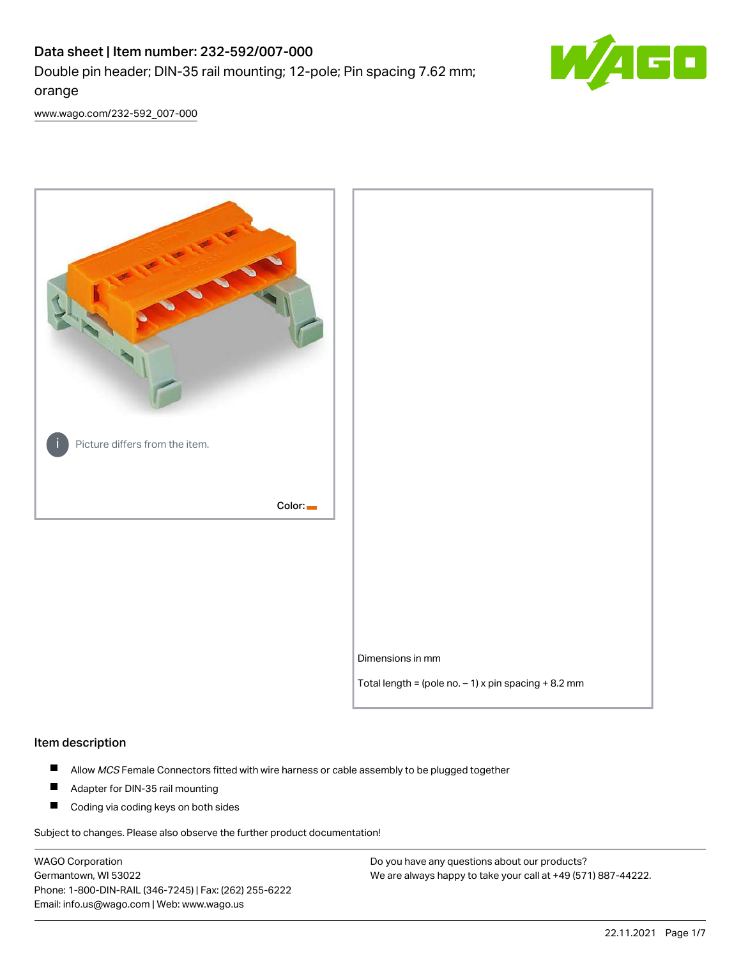# Data sheet | Item number: 232-592/007-000 Double pin header; DIN-35 rail mounting; 12-pole; Pin spacing 7.62 mm; orange



[www.wago.com/232-592\\_007-000](http://www.wago.com/232-592_007-000)



#### Item description

- $\blacksquare$ Allow MCS Female Connectors fitted with wire harness or cable assembly to be plugged together
- $\blacksquare$ Adapter for DIN-35 rail mounting
- $\blacksquare$ Coding via coding keys on both sides

Subject to changes. Please also observe the further product documentation!

WAGO Corporation Germantown, WI 53022 Phone: 1-800-DIN-RAIL (346-7245) | Fax: (262) 255-6222 Email: info.us@wago.com | Web: www.wago.us

Do you have any questions about our products? We are always happy to take your call at +49 (571) 887-44222.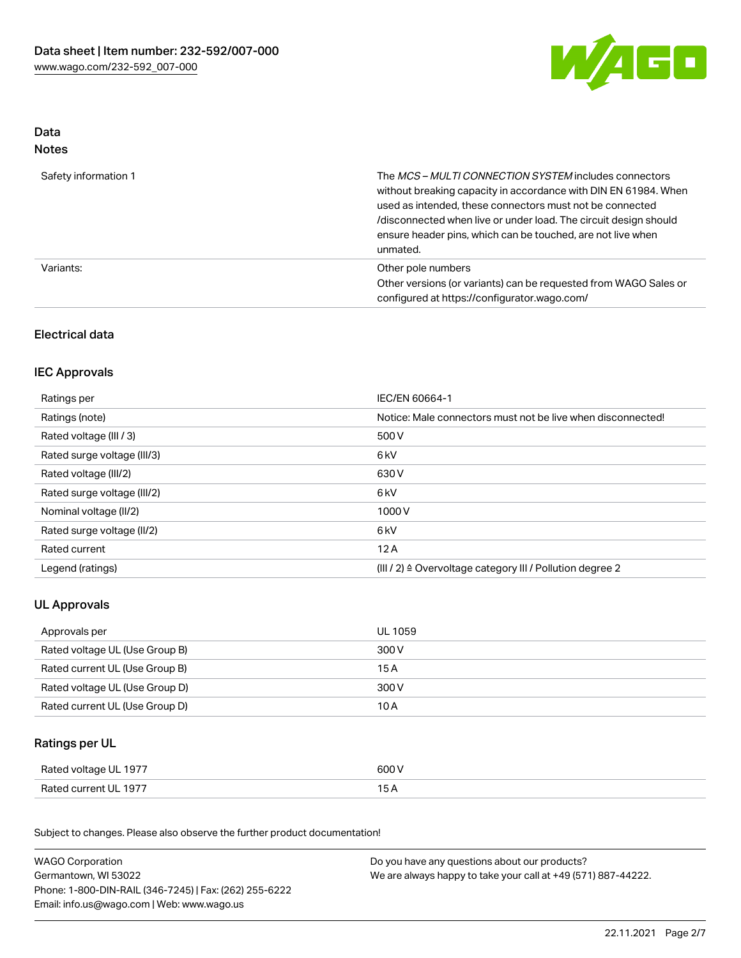

### Data Notes

| Safety information 1 | The <i>MCS – MULTI CONNECTION SYSTEM</i> includes connectors<br>without breaking capacity in accordance with DIN EN 61984. When<br>used as intended, these connectors must not be connected<br>/disconnected when live or under load. The circuit design should<br>ensure header pins, which can be touched, are not live when<br>unmated. |
|----------------------|--------------------------------------------------------------------------------------------------------------------------------------------------------------------------------------------------------------------------------------------------------------------------------------------------------------------------------------------|
| Variants:            | Other pole numbers<br>Other versions (or variants) can be requested from WAGO Sales or<br>configured at https://configurator.wago.com/                                                                                                                                                                                                     |

## Electrical data

## IEC Approvals

| Ratings per                 | IEC/EN 60664-1                                                        |
|-----------------------------|-----------------------------------------------------------------------|
| Ratings (note)              | Notice: Male connectors must not be live when disconnected!           |
| Rated voltage (III / 3)     | 500 V                                                                 |
| Rated surge voltage (III/3) | 6 <sub>kV</sub>                                                       |
| Rated voltage (III/2)       | 630 V                                                                 |
| Rated surge voltage (III/2) | 6 <sub>kV</sub>                                                       |
| Nominal voltage (II/2)      | 1000V                                                                 |
| Rated surge voltage (II/2)  | 6 <sub>kV</sub>                                                       |
| Rated current               | 12A                                                                   |
| Legend (ratings)            | $(III / 2)$ $\triangle$ Overvoltage category III / Pollution degree 2 |

## UL Approvals

| Approvals per                  | UL 1059 |
|--------------------------------|---------|
| Rated voltage UL (Use Group B) | 300 V   |
| Rated current UL (Use Group B) | 15 A    |
| Rated voltage UL (Use Group D) | 300 V   |
| Rated current UL (Use Group D) | 10 A    |

## Ratings per UL

| Rated voltage UL 1977 | 600 V |
|-----------------------|-------|
| Rated current UL 1977 |       |

Subject to changes. Please also observe the further product documentation!

| <b>WAGO Corporation</b>                                | Do you have any questions about our products?                 |  |
|--------------------------------------------------------|---------------------------------------------------------------|--|
| Germantown, WI 53022                                   | We are always happy to take your call at +49 (571) 887-44222. |  |
| Phone: 1-800-DIN-RAIL (346-7245)   Fax: (262) 255-6222 |                                                               |  |
| Email: info.us@wago.com   Web: www.wago.us             |                                                               |  |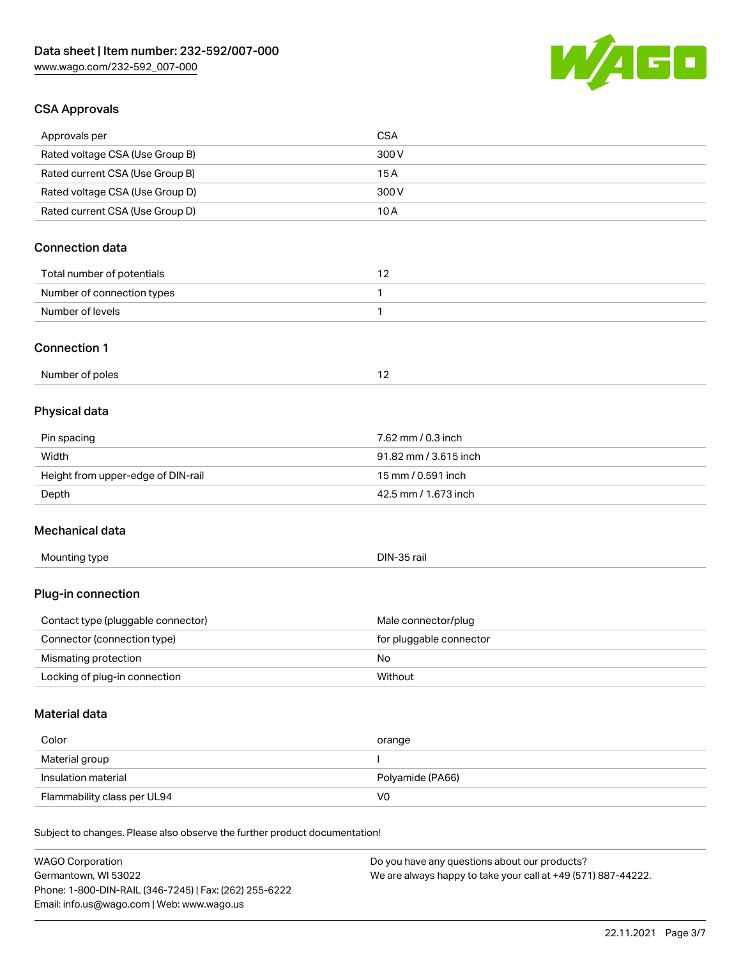Phone: 1-800-DIN-RAIL (346-7245) | Fax: (262) 255-6222

Email: info.us@wago.com | Web: www.wago.us



## CSA Approvals

| Approvals per                                                              | <b>CSA</b>                                                    |
|----------------------------------------------------------------------------|---------------------------------------------------------------|
| Rated voltage CSA (Use Group B)                                            | 300V                                                          |
| Rated current CSA (Use Group B)                                            | 15A                                                           |
| Rated voltage CSA (Use Group D)                                            | 300 V                                                         |
| Rated current CSA (Use Group D)                                            | 10A                                                           |
| <b>Connection data</b>                                                     |                                                               |
| Total number of potentials                                                 | 12                                                            |
| Number of connection types                                                 | 1                                                             |
| Number of levels                                                           | 1                                                             |
| <b>Connection 1</b>                                                        |                                                               |
| Number of poles                                                            | 12                                                            |
| Physical data                                                              |                                                               |
| Pin spacing                                                                | 7.62 mm / 0.3 inch                                            |
| Width                                                                      | 91.82 mm / 3.615 inch                                         |
| Height from upper-edge of DIN-rail                                         | 15 mm / 0.591 inch                                            |
| Depth                                                                      | 42.5 mm / 1.673 inch                                          |
| Mechanical data                                                            |                                                               |
| Mounting type                                                              | DIN-35 rail                                                   |
| Plug-in connection                                                         |                                                               |
| Contact type (pluggable connector)                                         | Male connector/plug                                           |
| Connector (connection type)                                                | for pluggable connector                                       |
| Mismating protection                                                       | No                                                            |
| Locking of plug-in connection                                              | Without                                                       |
| Material data                                                              |                                                               |
| Color                                                                      | orange                                                        |
| Material group                                                             | $\mathbf{I}$                                                  |
| Insulation material                                                        | Polyamide (PA66)                                              |
| Flammability class per UL94                                                | V <sub>0</sub>                                                |
| Subject to changes. Please also observe the further product documentation! |                                                               |
| <b>WAGO Corporation</b>                                                    | Do you have any questions about our products?                 |
| Germantown, WI 53022                                                       | We are always happy to take your call at +49 (571) 887-44222. |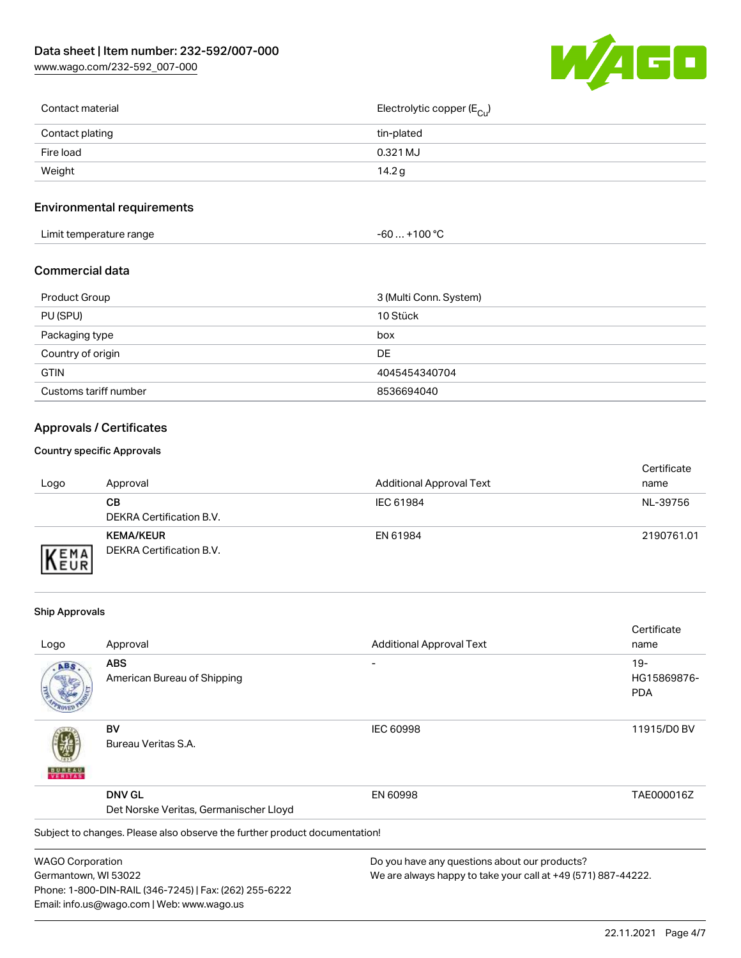[www.wago.com/232-592\\_007-000](http://www.wago.com/232-592_007-000)



| Contact material | Electrolytic copper (E <sub>Cu</sub> ) |
|------------------|----------------------------------------|
| Contact plating  | tin-plated                             |
| Fire load        | 0.321 MJ                               |
| Weight           | 14.2 g                                 |
|                  |                                        |

## Environmental requirements

| Limit temperature range | ⊥+100 °ົ<br>-60 |
|-------------------------|-----------------|
|-------------------------|-----------------|

#### Commercial data

| Product Group         | 3 (Multi Conn. System) |
|-----------------------|------------------------|
| PU (SPU)              | 10 Stück               |
| Packaging type        | box                    |
| Country of origin     | DE                     |
| <b>GTIN</b>           | 4045454340704          |
| Customs tariff number | 8536694040             |

## Approvals / Certificates

#### Country specific Approvals

| Logo               | Approval                                     | <b>Additional Approval Text</b> | Certificate<br>name |
|--------------------|----------------------------------------------|---------------------------------|---------------------|
|                    | CВ<br>DEKRA Certification B.V.               | IEC 61984                       | NL-39756            |
| EMA<br><b>NEUR</b> | <b>KEMA/KEUR</b><br>DEKRA Certification B.V. | EN 61984                        | 2190761.01          |

#### Ship Approvals

Email: info.us@wago.com | Web: www.wago.us

|                                        |                                                                            |                                                               | Certificate |
|----------------------------------------|----------------------------------------------------------------------------|---------------------------------------------------------------|-------------|
| Logo                                   | Approval                                                                   | <b>Additional Approval Text</b>                               | name        |
| ABS                                    | <b>ABS</b>                                                                 |                                                               | $19-$       |
|                                        | American Bureau of Shipping                                                |                                                               | HG15869876- |
|                                        |                                                                            |                                                               | <b>PDA</b>  |
|                                        | BV                                                                         | <b>IEC 60998</b>                                              | 11915/D0 BV |
|                                        | Bureau Veritas S.A.                                                        |                                                               |             |
|                                        | <b>DNV GL</b>                                                              | EN 60998                                                      | TAE000016Z  |
| Det Norske Veritas, Germanischer Lloyd |                                                                            |                                                               |             |
|                                        | Subject to changes. Please also observe the further product documentation! |                                                               |             |
| <b>WAGO Corporation</b>                |                                                                            | Do you have any questions about our products?                 |             |
| Germantown, WI 53022                   |                                                                            | We are always happy to take your call at +49 (571) 887-44222. |             |
|                                        | Phone: 1-800-DIN-RAIL (346-7245)   Fax: (262) 255-6222                     |                                                               |             |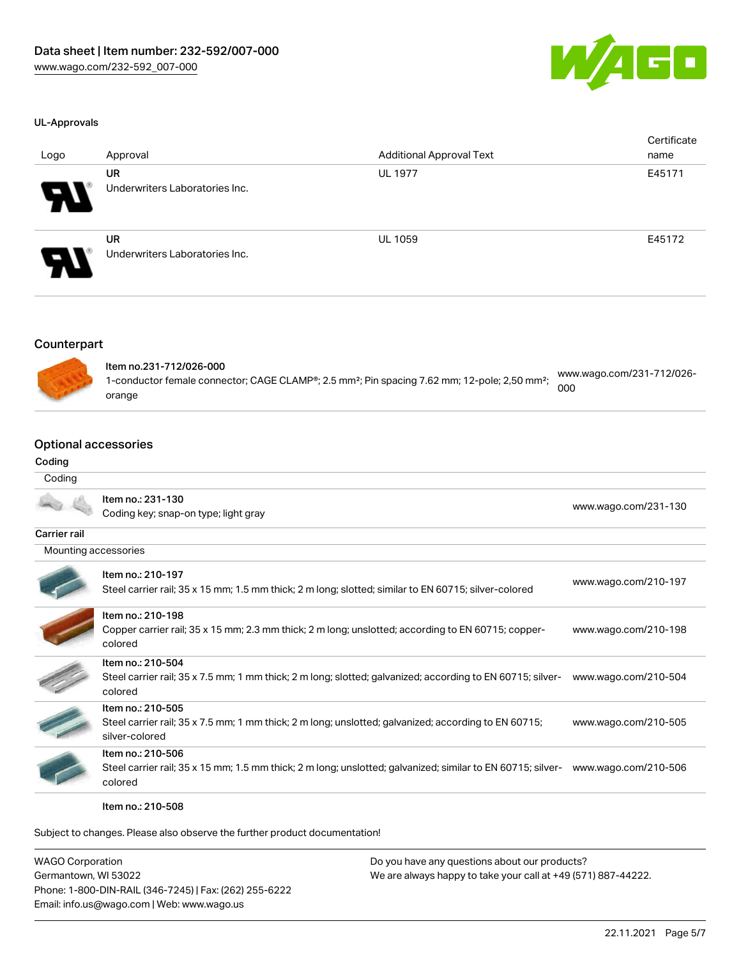

[www.wago.com/231-130](http://www.wago.com/231-130)

#### UL-Approvals

| Logo                       | Approval                                    | <b>Additional Approval Text</b> | Certificate<br>name |
|----------------------------|---------------------------------------------|---------------------------------|---------------------|
| R                          | <b>UR</b><br>Underwriters Laboratories Inc. | <b>UL 1977</b>                  | E45171              |
| $\boldsymbol{\mathcal{P}}$ | <b>UR</b><br>Underwriters Laboratories Inc. | <b>UL 1059</b>                  | E45172              |

### Counterpart



| ltem no.231-712/026-000                                                                                               |                                  |
|-----------------------------------------------------------------------------------------------------------------------|----------------------------------|
| 1-conductor female connector; CAGE CLAMP®; 2.5 mm <sup>2</sup> ; Pin spacing 7.62 mm; 12-pole; 2,50 mm <sup>2</sup> ; | www.wago.com/231-712/026-<br>000 |
| orange                                                                                                                |                                  |

## Optional accessories

## Coding

| Coding               |                                                                                   |
|----------------------|-----------------------------------------------------------------------------------|
|                      | Item no.: 231-130                                                                 |
|                      | Coding key; snap-on type; light gray                                              |
| <b>Carrier rail</b>  |                                                                                   |
| Mounting accessories |                                                                                   |
|                      | Item no.: 210-197                                                                 |
|                      | Ctool corrier roll, 25 y 15 mm 1.5 mm thiola 2 m longualetteducimiler to EN CO715 |

| Steel carrier rail; 35 x 15 mm; 1.5 mm thick; 2 m long; slotted; similar to EN 60715; silver-colored                                        | www.wago.com/210-197 |
|---------------------------------------------------------------------------------------------------------------------------------------------|----------------------|
| Item no.: 210-198<br>Copper carrier rail; 35 x 15 mm; 2.3 mm thick; 2 m long; unslotted; according to EN 60715; copper-<br>colored          | www.wago.com/210-198 |
| Item no.: 210-504<br>Steel carrier rail; 35 x 7.5 mm; 1 mm thick; 2 m long; slotted; galvanized; according to EN 60715; silver-<br>colored  | www.wago.com/210-504 |
| Item no.: 210-505<br>Steel carrier rail; 35 x 7.5 mm; 1 mm thick; 2 m long; unslotted; galvanized; according to EN 60715;<br>silver-colored | www.wago.com/210-505 |
| Item no.: 210-506<br>Steel carrier rail; 35 x 15 mm; 1.5 mm thick; 2 m long; unslotted; galvanized; similar to EN 60715; silver-<br>colored | www.wago.com/210-506 |
|                                                                                                                                             |                      |

Item no.: 210-508

Subject to changes. Please also observe the further product documentation!

| <b>WAGO Corporation</b>                                | Do you have any questions about our products?                 |
|--------------------------------------------------------|---------------------------------------------------------------|
| Germantown, WI 53022                                   | We are always happy to take your call at +49 (571) 887-44222. |
| Phone: 1-800-DIN-RAIL (346-7245)   Fax: (262) 255-6222 |                                                               |
| Email: info.us@wago.com   Web: www.wago.us             |                                                               |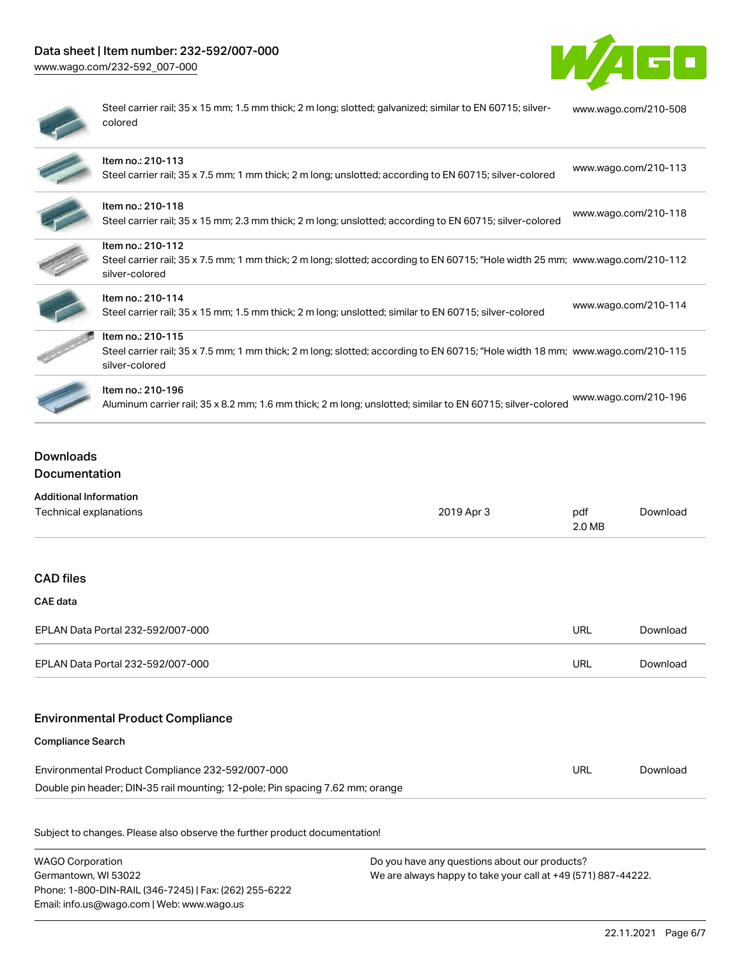## Data sheet | Item number: 232-592/007-000

[www.wago.com/232-592\\_007-000](http://www.wago.com/232-592_007-000)



| $\sim$ |
|--------|
|        |
| ۱      |
|        |

Steel carrier rail; 35 x 15 mm; 1.5 mm thick; 2 m long; slotted; galvanized; similar to EN 60715; silvercolored [www.wago.com/210-508](http://www.wago.com/210-508)

| Item no.: 210-113<br>Steel carrier rail; 35 x 7.5 mm; 1 mm thick; 2 m long; unslotted; according to EN 60715; silver-colored                                          | www.wago.com/210-113 |
|-----------------------------------------------------------------------------------------------------------------------------------------------------------------------|----------------------|
| Item no.: 210-118<br>Steel carrier rail; 35 x 15 mm; 2.3 mm thick; 2 m long; unslotted; according to EN 60715; silver-colored                                         | www.wago.com/210-118 |
| Item no.: 210-112<br>Steel carrier rail; 35 x 7.5 mm; 1 mm thick; 2 m long; slotted; according to EN 60715; "Hole width 25 mm; www.wago.com/210-112<br>silver-colored |                      |
| Item no.: 210-114<br>Steel carrier rail; 35 x 15 mm; 1.5 mm thick; 2 m long; unslotted; similar to EN 60715; silver-colored                                           | www.wago.com/210-114 |
| Item no.: 210-115<br>Steel carrier rail; 35 x 7.5 mm; 1 mm thick; 2 m long; slotted; according to EN 60715; "Hole width 18 mm; www.wago.com/210-115<br>silver-colored |                      |
| Item no.: 210-196<br>Aluminum carrier rail; 35 x 8.2 mm; 1.6 mm thick; 2 m long; unslotted; similar to EN 60715; silver-colored                                       | www.wago.com/210-196 |

## Downloads Documentation

| <b>Additional Information</b>                                                 |            |               |          |
|-------------------------------------------------------------------------------|------------|---------------|----------|
| Technical explanations                                                        | 2019 Apr 3 | pdf<br>2.0 MB | Download |
|                                                                               |            |               |          |
| <b>CAD files</b>                                                              |            |               |          |
| CAE data                                                                      |            |               |          |
| EPLAN Data Portal 232-592/007-000                                             |            | URL           | Download |
| EPLAN Data Portal 232-592/007-000                                             |            | URL           | Download |
|                                                                               |            |               |          |
| <b>Environmental Product Compliance</b>                                       |            |               |          |
| <b>Compliance Search</b>                                                      |            |               |          |
| Environmental Product Compliance 232-592/007-000                              |            | URL           | Download |
| Double pin header; DIN-35 rail mounting; 12-pole; Pin spacing 7.62 mm; orange |            |               |          |
| Subject to changes. Please also observe the further product documentation!    |            |               |          |

| <b>WAGO Corporation</b>                                |
|--------------------------------------------------------|
| Germantown, WI 53022                                   |
| Phone: 1-800-DIN-RAIL (346-7245)   Fax: (262) 255-6222 |
| Email: info.us@wago.com   Web: www.wago.us             |

Do you have any questions about our products? We are always happy to take your call at +49 (571) 887-44222.